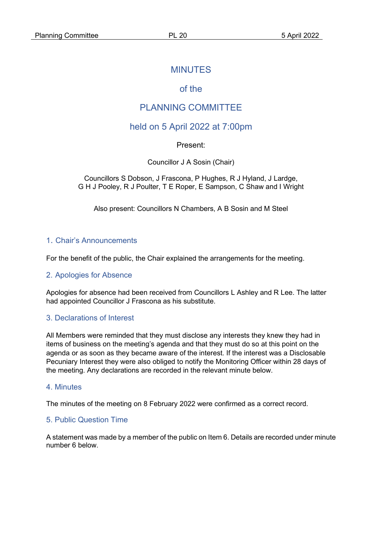## MINUTES

# of the

# PLANNING COMMITTEE

## held on 5 April 2022 at 7:00pm

### Present:

Councillor J A Sosin (Chair)

Councillors S Dobson, J Frascona, P Hughes, R J Hyland, J Lardge, G H J Pooley, R J Poulter, T E Roper, E Sampson, C Shaw and I Wright

Also present: Councillors N Chambers, A B Sosin and M Steel

#### 1. Chair's Announcements

For the benefit of the public, the Chair explained the arrangements for the meeting.

#### 2. Apologies for Absence

Apologies for absence had been received from Councillors L Ashley and R Lee. The latter had appointed Councillor J Frascona as his substitute.

#### 3. Declarations of Interest

All Members were reminded that they must disclose any interests they knew they had in items of business on the meeting's agenda and that they must do so at this point on the agenda or as soon as they became aware of the interest. If the interest was a Disclosable Pecuniary Interest they were also obliged to notify the Monitoring Officer within 28 days of the meeting. Any declarations are recorded in the relevant minute below.

#### 4. Minutes

The minutes of the meeting on 8 February 2022 were confirmed as a correct record.

### 5. Public Question Time

A statement was made by a member of the public on Item 6. Details are recorded under minute number 6 below.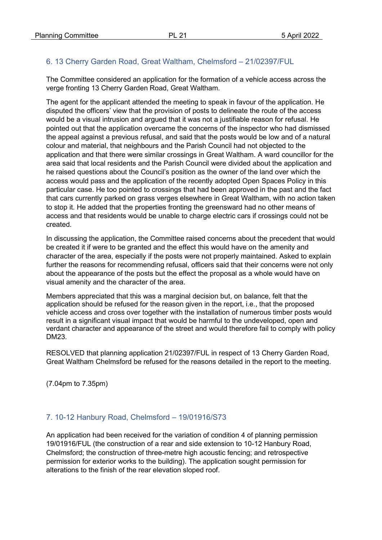### 6. 13 Cherry Garden Road, Great Waltham, Chelmsford – 21/02397/FUL

The Committee considered an application for the formation of a vehicle access across the verge fronting 13 Cherry Garden Road, Great Waltham.

The agent for the applicant attended the meeting to speak in favour of the application. He disputed the officers' view that the provision of posts to delineate the route of the access would be a visual intrusion and argued that it was not a justifiable reason for refusal. He pointed out that the application overcame the concerns of the inspector who had dismissed the appeal against a previous refusal, and said that the posts would be low and of a natural colour and material, that neighbours and the Parish Council had not objected to the application and that there were similar crossings in Great Waltham. A ward councillor for the area said that local residents and the Parish Council were divided about the application and he raised questions about the Council's position as the owner of the land over which the access would pass and the application of the recently adopted Open Spaces Policy in this particular case. He too pointed to crossings that had been approved in the past and the fact that cars currently parked on grass verges elsewhere in Great Waltham, with no action taken to stop it. He added that the properties fronting the greensward had no other means of access and that residents would be unable to charge electric cars if crossings could not be created.

In discussing the application, the Committee raised concerns about the precedent that would be created it if were to be granted and the effect this would have on the amenity and character of the area, especially if the posts were not properly maintained. Asked to explain further the reasons for recommending refusal, officers said that their concerns were not only about the appearance of the posts but the effect the proposal as a whole would have on visual amenity and the character of the area.

Members appreciated that this was a marginal decision but, on balance, felt that the application should be refused for the reason given in the report, i.e., that the proposed vehicle access and cross over together with the installation of numerous timber posts would result in a significant visual impact that would be harmful to the undeveloped, open and verdant character and appearance of the street and would therefore fail to comply with policy DM23.

RESOLVED that planning application 21/02397/FUL in respect of 13 Cherry Garden Road, Great Waltham Chelmsford be refused for the reasons detailed in the report to the meeting.

(7.04pm to 7.35pm)

### 7. 10-12 Hanbury Road, Chelmsford – 19/01916/S73

An application had been received for the variation of condition 4 of planning permission 19/01916/FUL (the construction of a rear and side extension to 10-12 Hanbury Road, Chelmsford; the construction of three-metre high acoustic fencing; and retrospective permission for exterior works to the building). The application sought permission for alterations to the finish of the rear elevation sloped roof.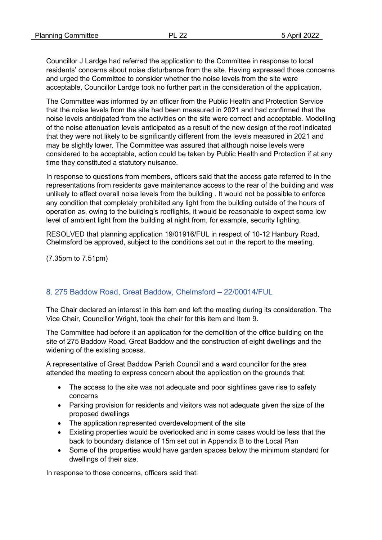Councillor J Lardge had referred the application to the Committee in response to local residents' concerns about noise disturbance from the site. Having expressed those concerns and urged the Committee to consider whether the noise levels from the site were acceptable, Councillor Lardge took no further part in the consideration of the application.

The Committee was informed by an officer from the Public Health and Protection Service that the noise levels from the site had been measured in 2021 and had confirmed that the noise levels anticipated from the activities on the site were correct and acceptable. Modelling of the noise attenuation levels anticipated as a result of the new design of the roof indicated that they were not likely to be significantly different from the levels measured in 2021 and may be slightly lower. The Committee was assured that although noise levels were considered to be acceptable, action could be taken by Public Health and Protection if at any time they constituted a statutory nuisance.

In response to questions from members, officers said that the access gate referred to in the representations from residents gave maintenance access to the rear of the building and was unlikely to affect overall noise levels from the building . It would not be possible to enforce any condition that completely prohibited any light from the building outside of the hours of operation as, owing to the building's rooflights, it would be reasonable to expect some low level of ambient light from the building at night from, for example, security lighting.

RESOLVED that planning application 19/01916/FUL in respect of 10-12 Hanbury Road, Chelmsford be approved, subject to the conditions set out in the report to the meeting.

(7.35pm to 7.51pm)

### 8. 275 Baddow Road, Great Baddow, Chelmsford – 22/00014/FUL

The Chair declared an interest in this item and left the meeting during its consideration. The Vice Chair, Councillor Wright, took the chair for this item and Item 9.

The Committee had before it an application for the demolition of the office building on the site of 275 Baddow Road, Great Baddow and the construction of eight dwellings and the widening of the existing access.

A representative of Great Baddow Parish Council and a ward councillor for the area attended the meeting to express concern about the application on the grounds that:

- The access to the site was not adequate and poor sightlines gave rise to safety concerns
- Parking provision for residents and visitors was not adequate given the size of the proposed dwellings
- The application represented overdevelopment of the site
- Existing properties would be overlooked and in some cases would be less that the back to boundary distance of 15m set out in Appendix B to the Local Plan
- Some of the properties would have garden spaces below the minimum standard for dwellings of their size.

In response to those concerns, officers said that: